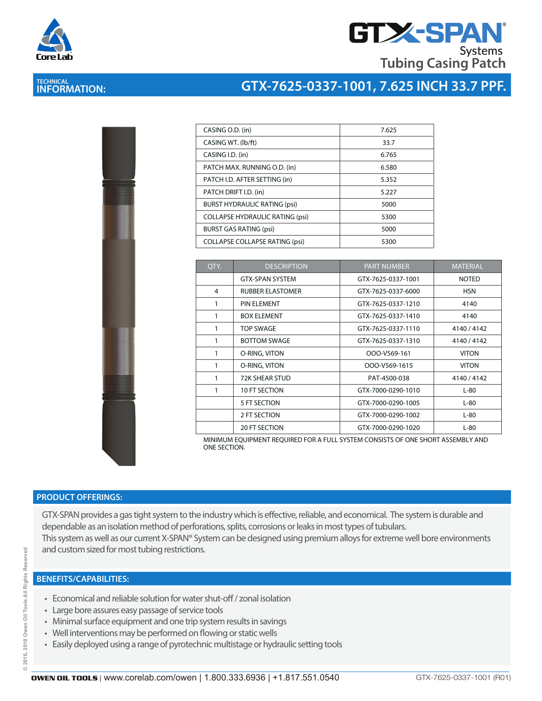

## **GTX-SPAN Systems Tubing Casing Patch**

## **TECHNICAL INFORMATION:**

### **GTX-7625-0337-1001, 7.625 INCH 33.7 PPF.**

| ł |  |  |
|---|--|--|
|   |  |  |
|   |  |  |
|   |  |  |
|   |  |  |
|   |  |  |
|   |  |  |

| CASING O.D. (in)                       | 7.625 |
|----------------------------------------|-------|
| CASING WT. (lb/ft)                     | 33.7  |
| CASING I.D. (in)                       | 6.765 |
| PATCH MAX. RUNNING O.D. (in)           | 6.580 |
| PATCH I.D. AFTER SETTING (in)          | 5.352 |
| PATCH DRIFT I.D. (in)                  | 5.227 |
| <b>BURST HYDRAULIC RATING (psi)</b>    | 5000  |
| <b>COLLAPSE HYDRAULIC RATING (psi)</b> | 5300  |
| <b>BURST GAS RATING (psi)</b>          | 5000  |
| <b>COLLAPSE COLLAPSE RATING (psi)</b>  | 5300  |

| QTY. | <b>DESCRIPTION</b>      | <b>PART NUMBER</b> | <b>MATERIAL</b> |
|------|-------------------------|--------------------|-----------------|
|      | <b>GTX-SPAN SYSTEM</b>  | GTX-7625-0337-1001 | <b>NOTED</b>    |
| 4    | <b>RUBBER ELASTOMER</b> | GTX-7625-0337-6000 | <b>HSN</b>      |
| 1    | PIN ELEMENT             | GTX-7625-0337-1210 | 4140            |
| 1    | <b>BOX ELEMENT</b>      | GTX-7625-0337-1410 | 4140            |
| 1    | <b>TOP SWAGE</b>        | GTX-7625-0337-1110 | 4140/4142       |
| 1    | <b>BOTTOM SWAGE</b>     | GTX-7625-0337-1310 | 4140 / 4142     |
| 1    | O-RING, VITON           | OOO-V569-161       | <b>VITON</b>    |
| 1    | O-RING, VITON           | OOO-V569-1615      | <b>VITON</b>    |
| 1    | 72K SHEAR STUD          | PAT-4500-038       | 4140 / 4142     |
| 1    | 10 FT SECTION           | GTX-7000-0290-1010 | $L-80$          |
|      | 5 FT SECTION            | GTX-7000-0290-1005 | $L-80$          |
|      | 2 FT SECTION            | GTX-7000-0290-1002 | $L-80$          |
|      | <b>20 FT SECTION</b>    | GTX-7000-0290-1020 | $L-80$          |

MINIMUM EQUIPMENT REQUIRED FOR A FULL SYSTEM CONSISTS OF ONE SHORT ASSEMBLY AND ONE SECTION.

#### **PRODUCT OFFERINGS:**

GTX-SPAN provides a gas tight system to the industry which is effective, reliable, and economical. The system is durable and dependable as an isolation method of perforations, splits, corrosions or leaks in most types of tubulars. This system as well as our current X-SPAN® System can be designed using premium alloys for extreme well bore environments and custom sized for most tubing restrictions.

#### **BENEFITS/CAPABILITIES:**

- Economical and reliable solution for water shut-off / zonal isolation
- Large bore assures easy passage of service tools
- Minimal surface equipment and one trip system results in savings
- Well interventions may be performed on flowing or static wells
- Easily deployed using a range of pyrotechnic multistage or hydraulic setting tools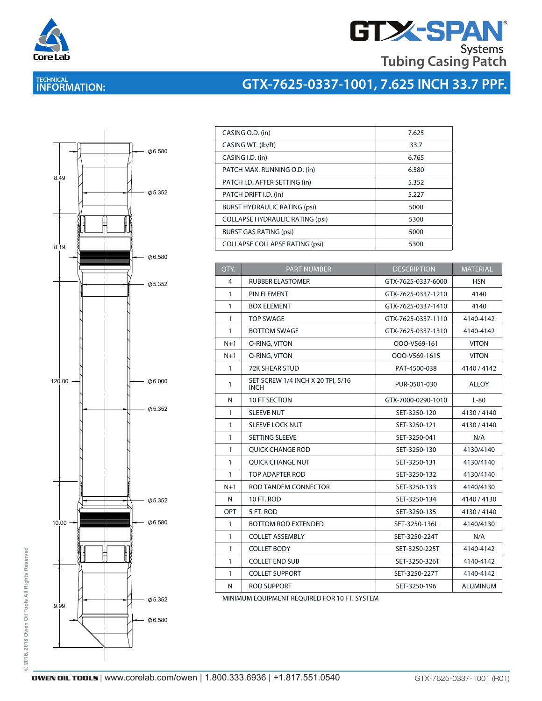

# **GTX-SPAN Tubing Casing Patch**

# **TECHNICAL INFORMATION:**

# **GTX-7625-0337-1001, 7.625 INCH 33.7 PPF.**



| CASING O.D. (in)                       | 7.625 |
|----------------------------------------|-------|
| CASING WT. (lb/ft)                     | 33.7  |
| CASING I.D. (in)                       | 6.765 |
| PATCH MAX. RUNNING O.D. (in)           | 6.580 |
| PATCH I.D. AFTER SETTING (in)          | 5.352 |
| PATCH DRIFT I.D. (in)                  | 5.227 |
| <b>BURST HYDRAULIC RATING (psi)</b>    | 5000  |
| <b>COLLAPSE HYDRAULIC RATING (psi)</b> | 5300  |
| <b>BURST GAS RATING (psi)</b>          | 5000  |
| <b>COLLAPSE COLLAPSE RATING (psi)</b>  | 5300  |
|                                        |       |

| QTY.         | <b>PART NUMBER</b><br><b>DESCRIPTION</b>         |                    | <b>MATERIAL</b> |
|--------------|--------------------------------------------------|--------------------|-----------------|
| 4            | <b>RUBBER ELASTOMER</b>                          | GTX-7625-0337-6000 |                 |
| $\mathbf{1}$ | PIN ELEMENT                                      | GTX-7625-0337-1210 | 4140            |
| $\mathbf{1}$ | <b>BOX ELEMENT</b>                               | GTX-7625-0337-1410 | 4140            |
| $\mathbf{1}$ | <b>TOP SWAGE</b>                                 | GTX-7625-0337-1110 | 4140-4142       |
| $\mathbf{1}$ | <b>BOTTOM SWAGE</b>                              | GTX-7625-0337-1310 | 4140-4142       |
| $N+1$        | O-RING, VITON                                    | OOO-V569-161       | <b>VITON</b>    |
| $N+1$        | O-RING, VITON<br>OOO-V569-1615                   |                    | <b>VITON</b>    |
| $\mathbf{1}$ | <b>72K SHEAR STUD</b>                            | PAT-4500-038       | 4140/4142       |
| 1            | SET SCREW 1/4 INCH X 20 TPI, 5/16<br><b>INCH</b> | PUR-0501-030       | ALLOY           |
| N            | 10 FT SECTION                                    | GTX-7000-0290-1010 | $L-80$          |
| $\mathbf{1}$ | <b>SLEEVE NUT</b>                                | SET-3250-120       | 4130/4140       |
| $\mathbf{1}$ | <b>SLEEVE LOCK NUT</b>                           | SET-3250-121       | 4130/4140       |
| $\mathbf{1}$ | SETTING SLEEVE                                   | SET-3250-041       | N/A             |
| 1            | <b>OUICK CHANGE ROD</b>                          | SET-3250-130       | 4130/4140       |
| $\mathbf{1}$ | <b>QUICK CHANGE NUT</b>                          | SET-3250-131       | 4130/4140       |
| $\mathbf{1}$ | TOP ADAPTER ROD                                  | SET-3250-132       | 4130/4140       |
| $N+1$        | ROD TANDEM CONNECTOR                             | SET-3250-133       | 4140/4130       |
| N            | 10 FT. ROD                                       | SET-3250-134       | 4140/4130       |
| OPT          | 5 FT. ROD                                        | SET-3250-135       | 4130/4140       |
| $\mathbf{1}$ | <b>BOTTOM ROD EXTENDED</b>                       | SET-3250-136L      | 4140/4130       |
| $\mathbf{1}$ | <b>COLLET ASSEMBLY</b>                           | SET-3250-224T      | N/A             |
| $\mathbf{1}$ | <b>COLLET BODY</b>                               | SET-3250-225T      | 4140-4142       |
| $\mathbf{1}$ | <b>COLLET END SUB</b>                            | SET-3250-326T      | 4140-4142       |
| 1            | <b>COLLET SUPPORT</b>                            | SET-3250-227T      | 4140-4142       |
| N            | <b>ROD SUPPORT</b>                               | SET-3250-196       | <b>ALUMINUM</b> |

MINIMUM EQUIPMENT REQUIRED FOR 10 FT. SYSTEM

© 2016, 2018 Owen Oil Tools All Rights Reserved **© 2016, 2018 Owen Oil Tools All Rights Reserved**